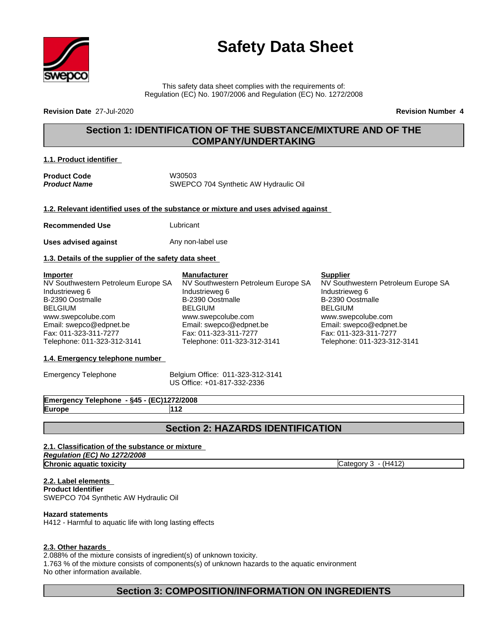

# **Safety Data Sheet**

This safety data sheet complies with the requirements of: Regulation (EC) No. 1907/2006 and Regulation (EC) No. 1272/2008

**Revision Date** 27-Jul-2020 **Revision Number 4**

# **Section 1: IDENTIFICATION OF THE SUBSTANCE/MIXTURE AND OF THE COMPANY/UNDERTAKING**

#### **1.1. Product identifier**

Product Code W30503 *Product Name* SWEPCO 704 Synthetic AW Hydraulic Oil

**1.2. Relevant identified uses of the substance or mixture and uses advised against**

**Recommended Use Lubricant** 

**Uses advised against** Any non-label use

#### **1.3. Details of the supplier of the safety data sheet**

**Importer** NV Southwestern Petroleum Europe SA Industrieweg 6 B-2390 Oostmalle BELGIUM www.swepcolube.com Email: swepco@edpnet.be Fax: 011-323-311-7277 Telephone: 011-323-312-3141

#### **1.4. Emergency telephone number**

Emergency Telephone Belgium Office: 011-323-312-3141 US Office: +01-817-332-2336

**Emergency Telephone - §45 - (EC)1272/2008 Europe 112**

# **Section 2: HAZARDS IDENTIFICATION**

# **2.1. Classification of the substance or mixture**

*Regulation (EC) No 1272/2008* **Chronic aquatic toxicity** Category 3 - (H412)

**2.2. Label elements Product Identifier** SWEPCO 704 Synthetic AW Hydraulic Oil

#### **Hazard statements**

H412 - Harmful to aquatic life with long lasting effects

#### **2.3. Other hazards**

2.088% of the mixture consists of ingredient(s) of unknown toxicity.

1.763 % of the mixture consists of components(s) of unknown hazards to the aquatic environment No other information available.

# **Section 3: COMPOSITION/INFORMATION ON INGREDIENTS**

**Manufacturer** NV Southwestern Petroleum Europe SA

www.swepcolube.com Email: swepco@edpnet.be Fax: 011-323-311-7277 Telephone: 011-323-312-3141

Industrieweg 6 B-2390 Oostmalle BELGIUM

#### **Supplier**

NV Southwestern Petroleum Europe SA Industrieweg 6 B-2390 Oostmalle BELGIUM www.swepcolube.com Email: swepco@edpnet.be Fax: 011-323-311-7277 Telephone: 011-323-312-3141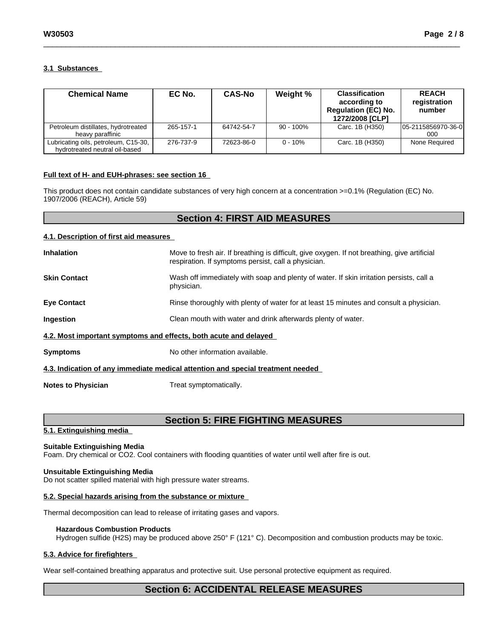#### **3.1 Substances**

| <b>Chemical Name</b>                                                   | EC No.    | <b>CAS-No</b> | Weight %     | <b>Classification</b><br>according to<br><b>Regulation (EC) No.</b><br>1272/2008 [CLP] | <b>REACH</b><br>registration<br>number |
|------------------------------------------------------------------------|-----------|---------------|--------------|----------------------------------------------------------------------------------------|----------------------------------------|
| Petroleum distillates, hydrotreated<br>heavy paraffinic                | 265-157-1 | 64742-54-7    | $90 - 100\%$ | Carc. 1B (H350)                                                                        | 05-2115856970-36-0<br>000              |
| Lubricating oils, petroleum, C15-30,<br>hydrotreated neutral oil-based | 276-737-9 | 72623-86-0    | $0 - 10%$    | Carc. 1B (H350)                                                                        | None Required                          |

#### **Full text of H- and EUH-phrases: see section 16**

This product does not contain candidate substances of very high concern at a concentration >=0.1% (Regulation (EC) No. 1907/2006 (REACH), Article 59)

# **Section 4: FIRST AID MEASURES**

#### **4.1. Description of first aid measures**

| <b>Inhalation</b>         | Move to fresh air. If breathing is difficult, give oxygen. If not breathing, give artificial<br>respiration. If symptoms persist, call a physician. |  |
|---------------------------|-----------------------------------------------------------------------------------------------------------------------------------------------------|--|
| <b>Skin Contact</b>       | Wash off immediately with soap and plenty of water. If skin irritation persists, call a<br>physician.                                               |  |
| <b>Eye Contact</b>        | Rinse thoroughly with plenty of water for at least 15 minutes and consult a physician.                                                              |  |
| <b>Ingestion</b>          | Clean mouth with water and drink afterwards plenty of water.                                                                                        |  |
|                           | 4.2. Most important symptoms and effects, both acute and delayed                                                                                    |  |
| <b>Symptoms</b>           | No other information available.                                                                                                                     |  |
|                           | 4.3. Indication of any immediate medical attention and special treatment needed                                                                     |  |
| <b>Notes to Physician</b> | Treat symptomatically.                                                                                                                              |  |

# **Section 5: FIRE FIGHTING MEASURES**

#### **5.1. Extinguishing media**

#### **Suitable Extinguishing Media**

Foam. Dry chemical or CO2. Cool containers with flooding quantities of water until well after fire is out.

#### **Unsuitable Extinguishing Media**

Do not scatter spilled material with high pressure water streams.

#### **5.2. Special hazards arising from the substance or mixture**

Thermal decomposition can lead to release of irritating gases and vapors.

#### **Hazardous Combustion Products**

Hydrogen sulfide (H2S) may be produced above 250° F (121° C). Decomposition and combustion products may be toxic.

#### **5.3. Advice for firefighters**

Wear self-contained breathing apparatus and protective suit. Use personal protective equipment as required.

# **Section 6: ACCIDENTAL RELEASE MEASURES**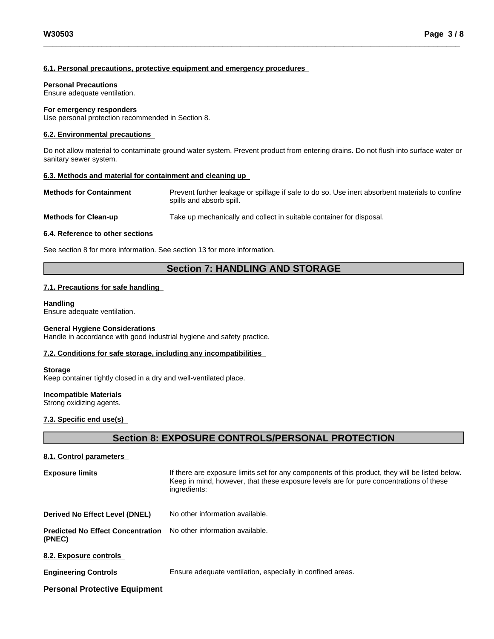#### **6.1. Personal precautions, protective equipment and emergency procedures**

#### **Personal Precautions**

Ensure adequate ventilation.

#### **For emergency responders**

Use personal protection recommended in Section 8.

#### **6.2. Environmental precautions**

Do not allow material to contaminate ground water system. Prevent product from entering drains. Do not flush into surface water or sanitary sewer system.

#### **6.3. Methods and material for containment and cleaning up**

**Methods for Containment** Prevent further leakage or spillage if safe to do so. Use inert absorbent materials to confine spills and absorb spill.

**Methods for Clean-up** Take up mechanically and collect in suitable container for disposal.

#### **6.4. Reference to other sections**

See section 8 for more information. See section 13 for more information.

# **Section 7: HANDLING AND STORAGE**

#### **7.1. Precautions for safe handling**

#### **Handling**

Ensure adequate ventilation.

#### **General Hygiene Considerations**

Handle in accordance with good industrial hygiene and safety practice.

#### **7.2. Conditions for safe storage, including any incompatibilities**

#### **Storage**

Keep container tightly closed in a dry and well-ventilated place.

#### **Incompatible Materials**

Strong oxidizing agents.

#### **7.3. Specific end use(s)**

# **Section 8: EXPOSURE CONTROLS/PERSONAL PROTECTION**

#### **8.1. Control parameters**

| <b>Exposure limits</b>                             | If there are exposure limits set for any components of this product, they will be listed below.<br>Keep in mind, however, that these exposure levels are for pure concentrations of these<br>ingredients: |
|----------------------------------------------------|-----------------------------------------------------------------------------------------------------------------------------------------------------------------------------------------------------------|
| Derived No Effect Level (DNEL)                     | No other information available.                                                                                                                                                                           |
| <b>Predicted No Effect Concentration</b><br>(PNEC) | No other information available.                                                                                                                                                                           |
| 8.2. Exposure controls                             |                                                                                                                                                                                                           |
| <b>Engineering Controls</b>                        | Ensure adequate ventilation, especially in confined areas.                                                                                                                                                |
| <b>Personal Protective Equipment</b>               |                                                                                                                                                                                                           |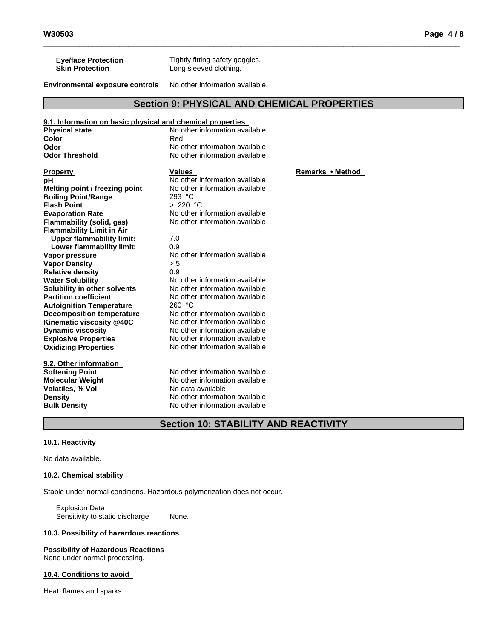**Environmental exposure controls** No other information available.

Long sleeved clothing.

# **Section 9: PHYSICAL AND CHEMICAL PROPERTIES**

| 9.1. Information on basic physical and chemical properties |                                |              |
|------------------------------------------------------------|--------------------------------|--------------|
| <b>Physical state</b>                                      | No other information available |              |
| Color                                                      | Red                            |              |
| Odor                                                       | No other information available |              |
| <b>Odor Threshold</b>                                      | No other information available |              |
| <b>Property</b>                                            | <b>Values</b>                  | Remarks • Me |
| pН                                                         | No other information available |              |
| Melting point / freezing point                             | No other information available |              |
| <b>Boiling Point/Range</b>                                 | 293 °C                         |              |
| <b>Flash Point</b>                                         | > 220 °C                       |              |
| <b>Evaporation Rate</b>                                    | No other information available |              |
| Flammability (solid, gas)                                  | No other information available |              |
| <b>Flammability Limit in Air</b>                           |                                |              |
| <b>Upper flammability limit:</b>                           | 7.0                            |              |
| Lower flammability limit:                                  | 0.9                            |              |
| Vapor pressure                                             | No other information available |              |
| <b>Vapor Density</b>                                       | > 5                            |              |
| <b>Relative density</b>                                    | 0.9                            |              |
| <b>Water Solubility</b>                                    | No other information available |              |
| Solubility in other solvents                               | No other information available |              |
| <b>Partition coefficient</b>                               | No other information available |              |
| <b>Autoignition Temperature</b>                            | 260 °C                         |              |
| <b>Decomposition temperature</b>                           | No other information available |              |
| Kinematic viscosity @40C                                   | No other information available |              |
| <b>Dynamic viscosity</b>                                   | No other information available |              |
| <b>Explosive Properties</b>                                | No other information available |              |
| <b>Oxidizing Properties</b>                                | No other information available |              |
| 9.2. Other information                                     |                                |              |
| <b>Softening Point</b>                                     | No other information available |              |
| <b>Molecular Weight</b>                                    | No other information available |              |
| Volatiles, % Vol                                           | No data available              |              |

# **Section 10: STABILITY AND REACTIVITY**

**Bulk Density** No other information available

#### **10.1. Reactivity**

No data available.

#### **10.2. Chemical stability**

Stable under normal conditions. Hazardous polymerization does not occur.

**Density** No other information available<br> **Bulk Density** No other information available

Explosion Data Sensitivity to static discharge None.

#### **10.3. Possibility of hazardous reactions**

# **Possibility of Hazardous Reactions**

None under normal processing.

#### **10.4. Conditions to avoid**

Heat, flames and sparks.

**Remarks** • Method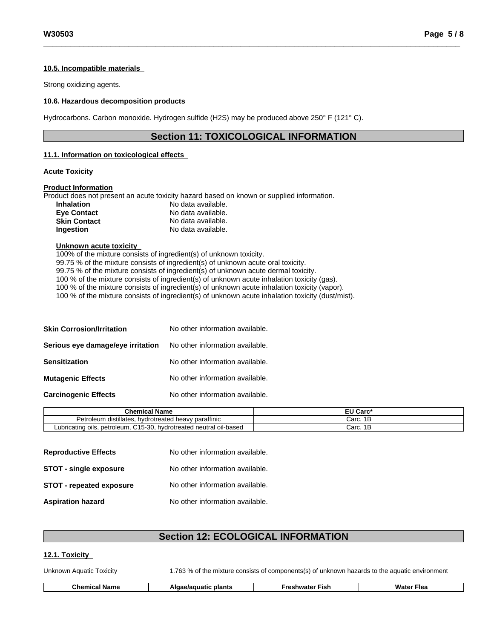#### **10.5. Incompatible materials**

Strong oxidizing agents.

#### **10.6. Hazardous decomposition products**

Hydrocarbons. Carbon monoxide. Hydrogen sulfide (H2S) may be produced above 250° F (121° C).

## **Section 11: TOXICOLOGICAL INFORMATION**

#### **11.1. Information on toxicologicaleffects**

#### **Acute Toxicity**

#### **Product Information**

Product does not present an acute toxicity hazard based on known or supplied information.

| <b>Inhalation</b>   | No data available. |
|---------------------|--------------------|
| Eye Contact         | No data available. |
| <b>Skin Contact</b> | No data available. |
| Ingestion           | No data available. |

#### **Unknown acute toxicity**

 $100\%$  of the mixture consists of ingredient(s) of unknown toxicity. 99.75 % of the mixture consists of ingredient(s) of unknown acute oral toxicity. 99.75 % of the mixture consists of ingredient(s) of unknown acute dermal toxicity. 100 % of the mixture consists of ingredient(s) of unknown acute inhalation toxicity (gas). 100 % of the mixture consists of ingredient(s) of unknown acute inhalation toxicity (vapor). 100 % of the mixture consists of ingredient(s) of unknown acute inhalation toxicity (dust/mist).

| <b>Skin Corrosion/Irritation</b>  | No other information available. |
|-----------------------------------|---------------------------------|
| Serious eye damage/eye irritation | No other information available. |
| <b>Sensitization</b>              | No other information available. |
| <b>Mutagenic Effects</b>          | No other information available. |
| <b>Carcinogenic Effects</b>       | No other information available. |

| <b>Chemical Name</b>                                                           | - 11<br><b>Carc</b><br>cu |
|--------------------------------------------------------------------------------|---------------------------|
| v paraffinic<br>Petroleum distillates.<br>. hvdrotreated heavv                 | Carc. 1B                  |
| . petroleum. C15-30.<br>hydrotreated neutral oil-based<br>Lubricating<br>oils. | 4 E<br>Carc.<br>- I E     |

| <b>Reproductive Effects</b>     | No other information available. |
|---------------------------------|---------------------------------|
| <b>STOT - single exposure</b>   | No other information available. |
| <b>STOT - repeated exposure</b> | No other information available. |
| <b>Aspiration hazard</b>        | No other information available. |

# **Section 12: ECOLOGICAL INFORMATION**

#### **12.1. Toxicity**

Unknown Aquatic Toxicity 1.763 % of the mixture consists of components(s) of unknown hazards to the aquatic environment

| ີh≏.<br>plants<br>$\sim$ $\sim$ $\sim$<br> | -isl | ∃lea<br>wate. |
|--------------------------------------------|------|---------------|
|--------------------------------------------|------|---------------|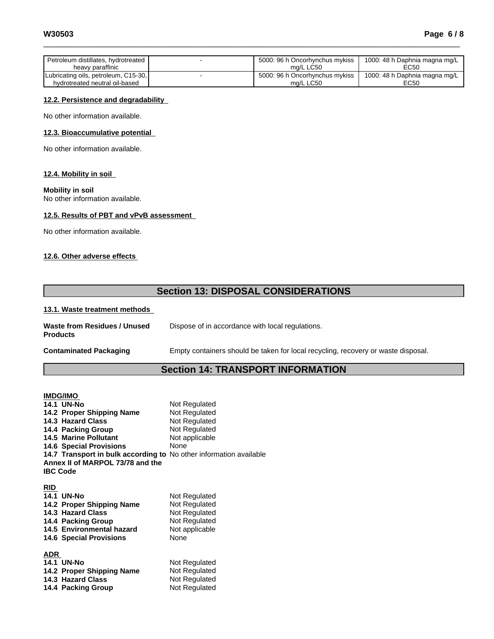| Petroleum distillates, hydrotreated<br>heavy paraffinic | 5000: 96 h Oncorhynchus mykiss<br>ma/L LC50 | 1000: 48 h Daphnia magna mg/L<br>EC50 |
|---------------------------------------------------------|---------------------------------------------|---------------------------------------|
| Lubricating oils, petroleum, C15-30,                    | 5000: 96 h Oncorhynchus mykiss              | 1000: 48 h Daphnia magna mg/L         |
| hydrotreated neutral oil-based                          | ma/L LC50                                   | EC50                                  |

#### **12.2. Persistence and degradability**

No other information available.

#### **12.3. Bioaccumulative potential**

No other information available.

#### **12.4. Mobility in soil**

#### **Mobility in soil**

No other information available.

#### **12.5. Results of PBT and vPvB assessment**

No other information available.

#### **12.6. Other adverse effects**

# **Section 13: DISPOSAL CONSIDERATIONS**

#### **13.1. Waste treatment methods**

| Waste from Residues / Unused<br><b>Products</b> | Dispose of in accordance with local regulations.                                  |
|-------------------------------------------------|-----------------------------------------------------------------------------------|
| <b>Contaminated Packaging</b>                   | Empty containers should be taken for local recycling, recovery or waste disposal. |

### **Section 14: TRANSPORT INFORMATION**

| <b>IMDG/IMO</b>                                                    |                                                |
|--------------------------------------------------------------------|------------------------------------------------|
| <b>14.1 UN-No</b>                                                  | Not Regulated                                  |
| 14.2 Proper Shipping Name                                          | Not Regulated                                  |
| 14.3 Hazard Class                                                  | Not Regulated                                  |
| 14.4 Packing Group                                                 | Not Regulated                                  |
| <b>14.5 Marine Pollutant</b>                                       | Not applicable                                 |
| <b>14.6 Special Provisions</b>                                     | None                                           |
| 14.7 Transport in bulk according to No other information available |                                                |
|                                                                    |                                                |
| <b>IBC Code</b>                                                    |                                                |
|                                                                    |                                                |
|                                                                    |                                                |
|                                                                    | Not Regulated                                  |
| 14.2 Proper Shipping Name                                          | Not Regulated                                  |
| 14.3 Hazard Class                                                  | Not Regulated                                  |
| 14.4 Packing Group                                                 | Not Regulated                                  |
| 14.5 Environmental hazard                                          | Not applicable                                 |
| <b>14.6 Special Provisions</b>                                     | None                                           |
|                                                                    |                                                |
| ADR                                                                |                                                |
| <b>14.1 UN-No</b>                                                  | Not Regulated                                  |
| 14.2 Proper Shipping Name                                          | Not Regulated                                  |
| 14.3 Hazard Class                                                  | Not Regulated                                  |
|                                                                    | Annex II of MARPOL 73/78 and the<br>14.1 UN-No |

**14.4 Packing Group Not Regulated**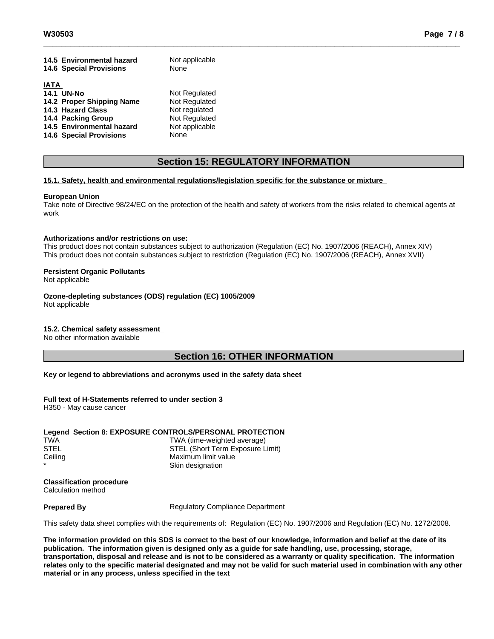|             | 14.5 Environmental hazard      | Not applicable |
|-------------|--------------------------------|----------------|
|             | <b>14.6 Special Provisions</b> | None           |
|             |                                |                |
| <b>IATA</b> |                                |                |
|             | <b>14.1 UN-No</b>              | Not Regulated  |
|             | 14.2 Proper Shipping Name      | Not Regulated  |
|             | 14.3 Hazard Class              | Not regulated  |
|             | 14.4 Packing Group             | Not Regulated  |
|             | 14.5 Environmental hazard      | Not applicable |
|             | <b>14.6 Special Provisions</b> | None           |

# **Section 15: REGULATORY INFORMATION**

#### **15.1. Safety, health and environmental regulations/legislation specific for the substance or mixture**

#### **European Union**

Take note of Directive 98/24/EC on the protection of the health and safety of workers from the risks related to chemical agents at work

#### **Authorizations and/or restrictions on use:**

This product does not contain substances subject to authorization (Regulation (EC) No. 1907/2006 (REACH), Annex XIV) This product does not contain substances subject to restriction (Regulation (EC) No. 1907/2006 (REACH), Annex XVII)

#### **Persistent Organic Pollutants**

Not applicable

**Ozone-depleting substances (ODS) regulation (EC) 1005/2009** Not applicable

### **15.2. Chemical safety assessment**

No other information available

## **Section 16: OTHER INFORMATION**

#### **Key or legend to abbreviations and acronyms used in the safety data sheet**

#### **Full text of H-Statements referred to undersection 3**

H350 - May cause cancer

#### **Legend Section 8: EXPOSURE CONTROLS/PERSONAL PROTECTION** TWA TWA (time-weighted average) STEL STEL (Short Term Exposure Limit) Ceiling Ceiling **Maximum** limit value Skin designation

**Classification procedure** Calculation method

**Prepared By** Regulatory Compliance Department

This safety data sheet complies with the requirements of: Regulation (EC) No. 1907/2006 and Regulation (EC) No. 1272/2008.

The information provided on this SDS is correct to the best of our knowledge, information and belief at the date of its **publication. The information given isdesigned only as a guide for safe handling, use, processing, storage,** transportation, disposal and release and is not to be considered as a warranty or quality specification. The information relates only to the specific material designated and may not be valid for such material used in combination with any other **material or in any process,unless specified in the text**